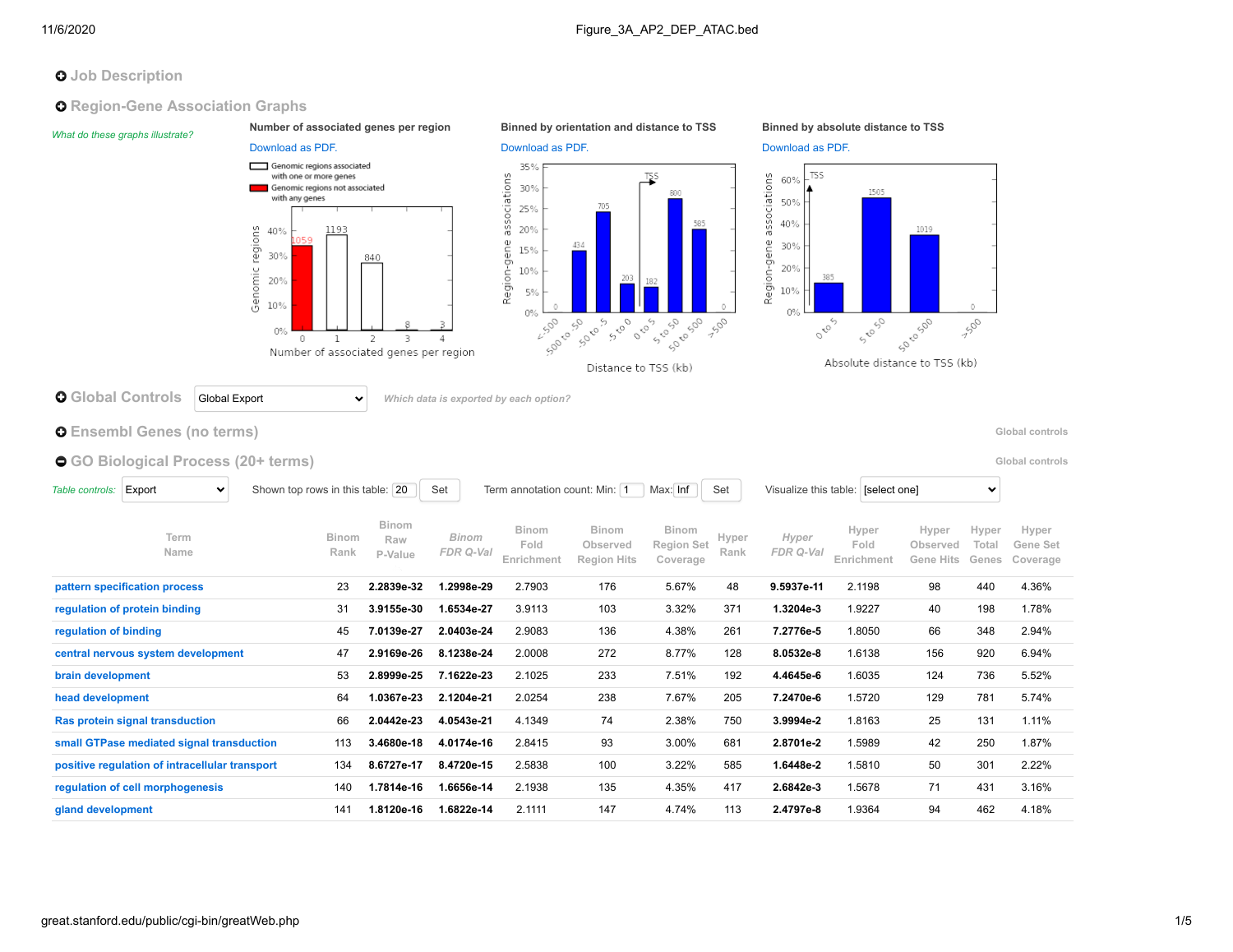# **O** Job Description

**O** Region-Gene Association Graphs

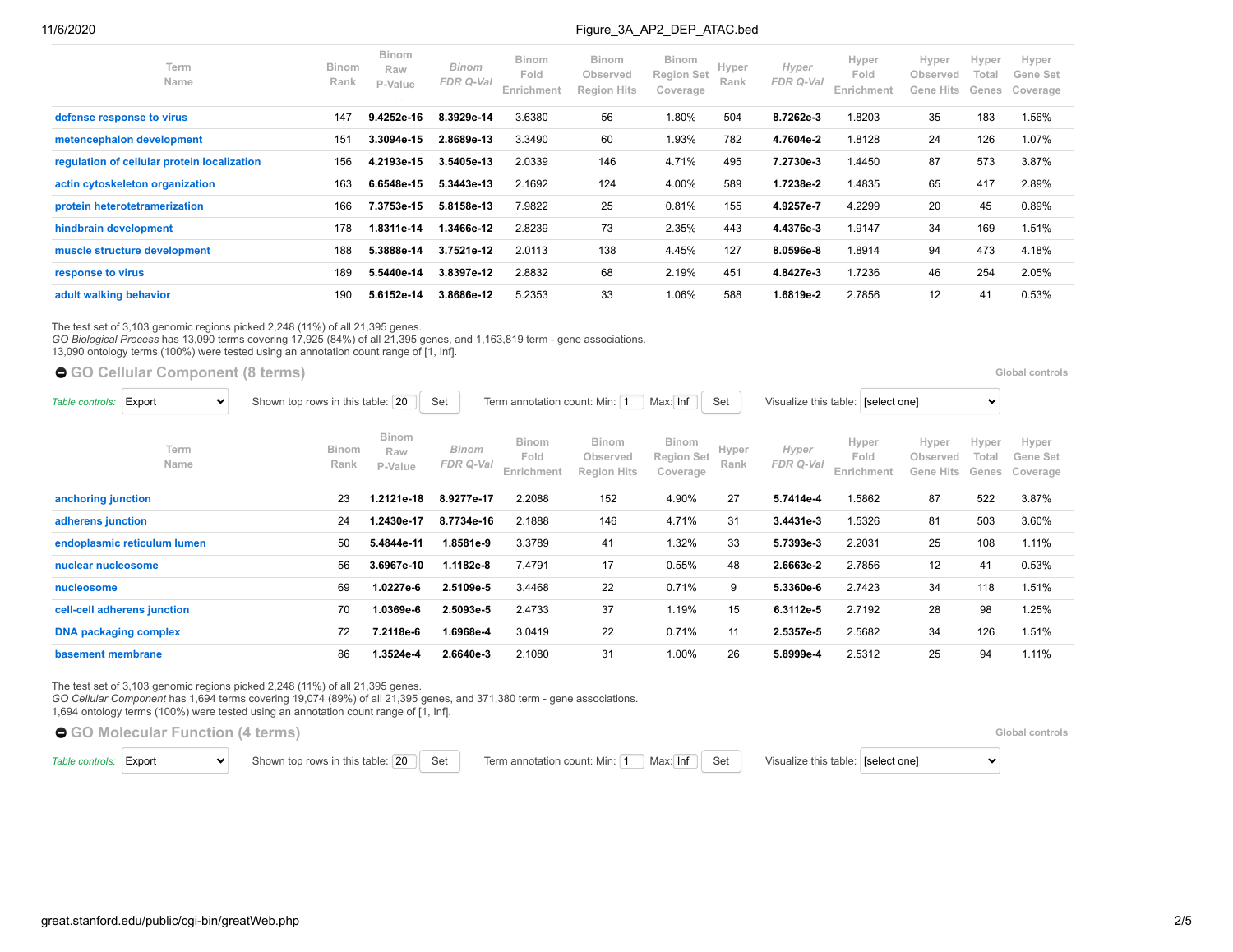| Term<br><b>Name</b>                         | <b>Binom</b><br>Rank | <b>Binom</b><br>Raw<br>P-Value | Binom<br>FDR Q-Val | <b>Binom</b><br>Fold<br>Enrichment | <b>Binom</b><br>Observed<br><b>Region Hits</b> | <b>Binom</b><br><b>Region Set</b><br>Coverage | Hyper<br>Rank | Hyper<br>FDR Q-Val | Hyper<br>Fold<br>Enrichment | Hyper<br>Observed<br>Gene<br><b>Hits</b> | Hyper<br>Total<br>Genes | Hyper<br>Gene Set<br>Coverage |
|---------------------------------------------|----------------------|--------------------------------|--------------------|------------------------------------|------------------------------------------------|-----------------------------------------------|---------------|--------------------|-----------------------------|------------------------------------------|-------------------------|-------------------------------|
| defense response to virus                   | 147                  | 9.4252e-16                     | 8.3929e-14         | 3.6380                             | 56                                             | 1.80%                                         | 504           | 8.7262e-3          | 1.8203                      | 35                                       | 183                     | 1.56%                         |
| metencephalon development                   | 151                  | 3.3094e-15                     | 2.8689e-13         | 3.3490                             | 60                                             | 1.93%                                         | 782           | 4.7604e-2          | 1.8128                      | 24                                       | 126                     | 1.07%                         |
| regulation of cellular protein localization | 156                  | 4.2193e-15                     | 3.5405e-13         | 2.0339                             | 146                                            | 4.71%                                         | 495           | 7.2730e-3          | 1.4450                      | 87                                       | 573                     | 3.87%                         |
| actin cytoskeleton organization             | 163                  | 6.6548e-15                     | 5.3443e-13         | 2.1692                             | 124                                            | 4.00%                                         | 589           | 1.7238e-2          | 1.4835                      | 65                                       | 417                     | 2.89%                         |
| protein heterotetramerization               | 166                  | 7.3753e-15                     | 5.8158e-13         | 7.9822                             | 25                                             | 0.81%                                         | 155           | 4.9257e-7          | 4.2299                      | 20                                       | 45                      | 0.89%                         |
| hindbrain development                       | 178                  | 1.8311e-14                     | 1.3466e-12         | 2.8239                             | 73                                             | 2.35%                                         | 443           | 4.4376e-3          | 1.9147                      | 34                                       | 169                     | 1.51%                         |
| muscle structure development                | 188                  | 5.3888e-14                     | 3.7521e-12         | 2.0113                             | 138                                            | 4.45%                                         | 127           | 8.0596e-8          | 1.8914                      | 94                                       | 473                     | 4.18%                         |
| response to virus                           | 189                  | 5.5440e-14                     | 3.8397e-12         | 2.8832                             | 68                                             | 2.19%                                         | 451           | 4.8427e-3          | 1.7236                      | 46                                       | 254                     | 2.05%                         |
| adult walking behavior                      | 190                  | 5.6152e-14                     | 3.8686e-12         | 5.2353                             | 33                                             | 1.06%                                         | 588           | 1.6819e-2          | 2.7856                      | 12                                       | 41                      | 0.53%                         |

The test set of 3,103 genomic regions picked 2,248 (11%) of all 21,395 genes.

*GO Biological Process* has 13,090 terms covering 17,925 (84%) of all 21,395 genes, and 1,163,819 term - gene associations.

13,090 ontology terms (100%) were tested using an annotation count range of [1, Inf].

**[GO Cellular Component](https://great-help.atlassian.net/wiki/spaces/GREAT/Gene+Ontology) (8 terms) [Global controls](http://great.stanford.edu/public/cgi-bin/greatWeb.php#global_controls_header) Global controls Global controls Global controls** 

| Table controls:              | Export<br>$\checkmark$      | Shown top rows in this table: 20 |                                | Set<br>Set<br>Term annotation count: Min: 1<br>Max: Inf |                                    |                                                |                                               |               |                    | Visualize this table: [select one]<br>$\checkmark$ |                                |                         |                               |  |
|------------------------------|-----------------------------|----------------------------------|--------------------------------|---------------------------------------------------------|------------------------------------|------------------------------------------------|-----------------------------------------------|---------------|--------------------|----------------------------------------------------|--------------------------------|-------------------------|-------------------------------|--|
|                              | Term<br>Name                | Binom<br>Rank                    | <b>Binom</b><br>Raw<br>P-Value | Binom<br>FDR Q-Val                                      | <b>Binom</b><br>Fold<br>Enrichment | <b>Binom</b><br>Observed<br><b>Region Hits</b> | <b>Binom</b><br><b>Region Set</b><br>Coverage | Hyper<br>Rank | Hyper<br>FDR Q-Val | Hyper<br>Fold<br>Enrichment                        | Hyper<br>Observed<br>Gene Hits | Hyper<br>Total<br>Genes | Hyper<br>Gene Set<br>Coverage |  |
| anchoring junction           |                             | 23                               | 1.2121e-18                     | 8.9277e-17                                              | 2.2088                             | 152                                            | 4.90%                                         | 27            | 5.7414e-4          | 1.5862                                             | 87                             | 522                     | 3.87%                         |  |
| adherens junction            |                             | 24                               | 1.2430e-17                     | 8.7734e-16                                              | 2.1888                             | 146                                            | 4.71%                                         | 31            | 3.4431e-3          | 1.5326                                             | 81                             | 503                     | 3.60%                         |  |
|                              | endoplasmic reticulum lumen | 50                               | 5.4844e-11                     | 1.8581e-9                                               | 3.3789                             | 41                                             | 1.32%                                         | 33            | 5.7393e-3          | 2.2031                                             | 25                             | 108                     | 1.11%                         |  |
| nuclear nucleosome           |                             | 56                               | 3.6967e-10                     | 1.1182e-8                                               | 7.4791                             | 17                                             | 0.55%                                         | 48            | 2.6663e-2          | 2.7856                                             | 12                             | 41                      | 0.53%                         |  |
| nucleosome                   |                             | 69                               | 1.0227e-6                      | 2.5109e-5                                               | 3.4468                             | 22                                             | 0.71%                                         | 9             | 5.3360e-6          | 2.7423                                             | 34                             | 118                     | 1.51%                         |  |
|                              | cell-cell adherens junction | 70                               | 1.0369e-6                      | 2.5093e-5                                               | 2.4733                             | 37                                             | 1.19%                                         | 15            | 6.3112e-5          | 2.7192                                             | 28                             | 98                      | 1.25%                         |  |
| <b>DNA packaging complex</b> |                             | 72                               | 7.2118e-6                      | 1.6968e-4                                               | 3.0419                             | 22                                             | 0.71%                                         | 11            | 2.5357e-5          | 2.5682                                             | 34                             | 126                     | 1.51%                         |  |
| basement membrane            |                             | 86                               | 1.3524e-4                      | 2.6640e-3                                               | 2.1080                             | 31                                             | 1.00%                                         | 26            | 5.8999e-4          | 2.5312                                             | 25                             | 94                      | 1.11%                         |  |

The test set of 3,103 genomic regions picked 2,248 (11%) of all 21,395 genes.

*GO Cellular Component* has 1,694 terms covering 19,074 (89%) of all 21,395 genes, and 371,380 term - gene associations.

1,694 ontology terms (100%) were tested using an annotation count range of [1, Inf].

**[GO Molecular Function](https://great-help.atlassian.net/wiki/spaces/GREAT/Gene+Ontology) (4 terms) [Global controls](http://great.stanford.edu/public/cgi-bin/greatWeb.php#global_controls_header) Global controls Global controls Global controls** 

[Table controls:](https://great-help.atlassian.net/wiki/spaces/GREAT/pages/655462/Output#Output-OntologyTableControls) Export v Shown top rows in this table: 20 Set Term annotation count: Min: 1 Max: Inf Set Visualize this table: [select one]

 $\checkmark$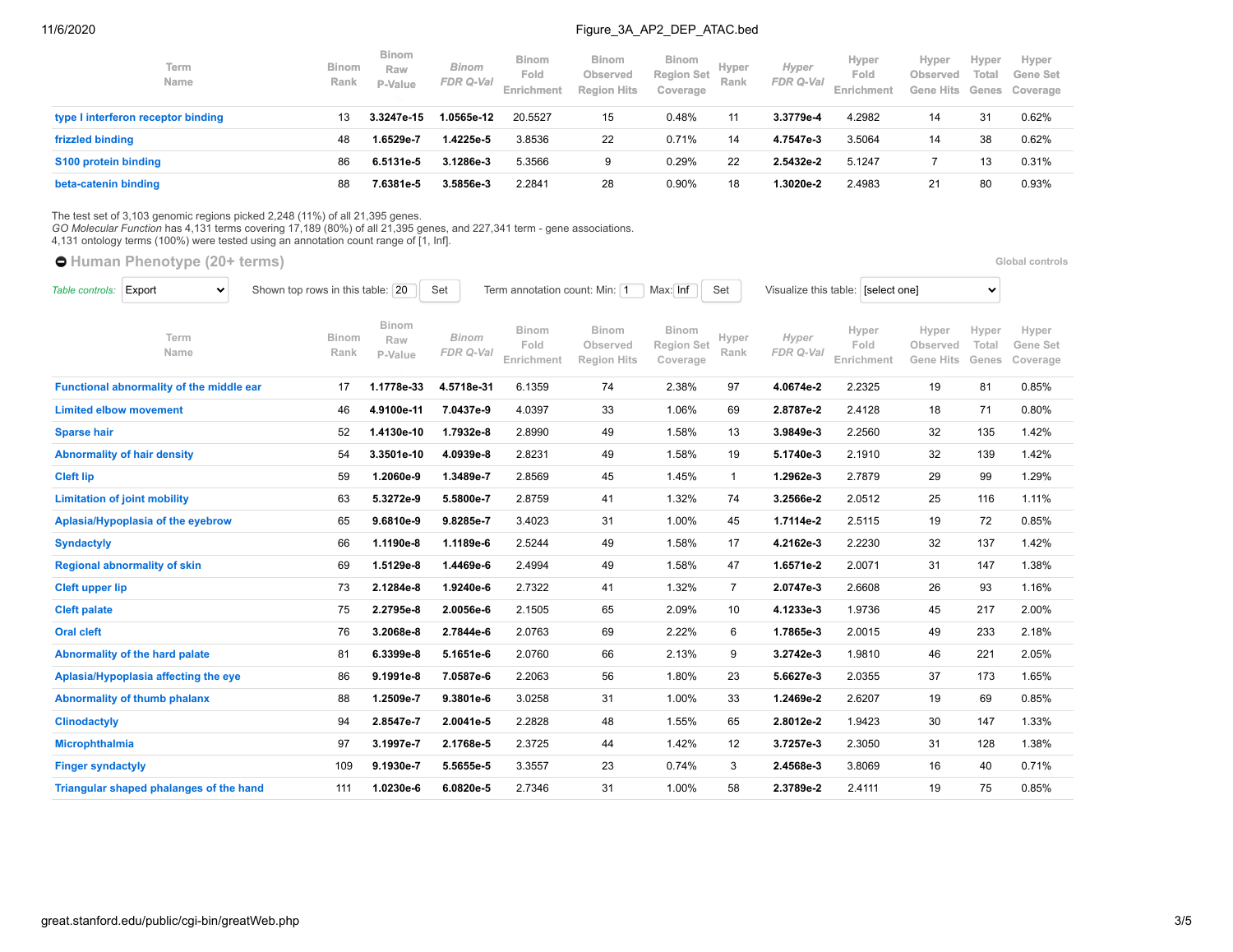| Term<br>Name                       | <b>Binom</b><br>Rank | <b>Binom</b><br>Raw<br>P-Value | <b>Binom</b><br><b>FDR Q-Val</b> | <b>Binom</b><br>Fold<br>Enrichment | <b>Binom</b><br><b>Observed</b><br><b>Region Hits</b> | <b>Binom</b><br><b>Region Set</b><br>Coverage | Hyper<br>Rank | Hyper<br><b>FDR Q-Val</b> | Hyper<br>Fold<br>Enrichment | Hyper<br>Observed | <b>Hyper</b><br>Total | Hyper<br>Gene Set<br>Gene Hits Genes Coverage |
|------------------------------------|----------------------|--------------------------------|----------------------------------|------------------------------------|-------------------------------------------------------|-----------------------------------------------|---------------|---------------------------|-----------------------------|-------------------|-----------------------|-----------------------------------------------|
| type I interferon receptor binding | 13                   | 3.3247e-15                     | 1.0565e-12                       | 20.5527                            | 15                                                    | 0.48%                                         | 11            | 3.3779e-4                 | 4.2982                      | 14                | 31                    | 0.62%                                         |
| frizzled binding                   | 48                   | 1.6529e-7                      | 1.4225e-5                        | 3.8536                             | 22                                                    | 0.71%                                         | 14            | 4.7547e-3                 | 3.5064                      | 14                | 38                    | 0.62%                                         |
| S100 protein binding               | 86                   | 6.5131e-5                      | 3.1286e-3                        | 5.3566                             | 9                                                     | 0.29%                                         | 22            | 2.5432e-2                 | 5.1247                      |                   |                       | 0.31%                                         |
| beta-catenin binding               | 88                   | 7.6381e-5                      | 3.5856e-3                        | 2.2841                             | 28                                                    | 0.90%                                         | 18            | .3020e-2                  | 2.4983                      | 21                | 80                    | 0.93%                                         |

The test set of 3,103 genomic regions picked 2,248 (11%) of all 21,395 genes. *GO Molecular Function* has 4,131 terms covering 17,189 (80%) of all 21,395 genes, and 227,341 term - gene associations.

4,131 ontology terms (100%) were tested using an annotation count range of [1, Inf].

**[Human Phenotype](https://great-help.atlassian.net/wiki/spaces/GREAT/Human+Phenotype) (20+ terms) [Global controls](http://great.stanford.edu/public/cgi-bin/greatWeb.php#global_controls_header) Global controls Global controls Global controls** 

| Table controls:          | Export<br>$\checkmark$                   | Shown top rows in this table: 20 |                                | Set                       | Term annotation count: Min: 1 |                                                |                                               | Max: Inf<br>Set |                    | Visualize this table: [select one] |                                       |                         |                               |
|--------------------------|------------------------------------------|----------------------------------|--------------------------------|---------------------------|-------------------------------|------------------------------------------------|-----------------------------------------------|-----------------|--------------------|------------------------------------|---------------------------------------|-------------------------|-------------------------------|
|                          | Term<br>Name                             | <b>Binom</b><br>Rank             | <b>Binom</b><br>Raw<br>P-Value | <b>Binom</b><br>FDR Q-Val | Binom<br>Fold<br>Enrichment   | <b>Binom</b><br>Observed<br><b>Region Hits</b> | <b>Binom</b><br><b>Region Set</b><br>Coverage | Hyper<br>Rank   | Hyper<br>FDR Q-Val | Hyper<br>Fold<br>Enrichment        | Hyper<br>Observed<br><b>Gene Hits</b> | Hyper<br>Total<br>Genes | Hyper<br>Gene Set<br>Coverage |
|                          | Functional abnormality of the middle ear | 17                               | 1.1778e-33                     | 4.5718e-31                | 6.1359                        | 74                                             | 2.38%                                         | 97              | 4.0674e-2          | 2.2325                             | 19                                    | 81                      | 0.85%                         |
|                          | <b>Limited elbow movement</b>            | 46                               | 4.9100e-11                     | 7.0437e-9                 | 4.0397                        | 33                                             | 1.06%                                         | 69              | 2.8787e-2          | 2.4128                             | 18                                    | 71                      | 0.80%                         |
| <b>Sparse hair</b>       |                                          | 52                               | 1.4130e-10                     | 1.7932e-8                 | 2.8990                        | 49                                             | 1.58%                                         | 13              | 3.9849e-3          | 2.2560                             | 32                                    | 135                     | 1.42%                         |
|                          | <b>Abnormality of hair density</b>       | 54                               | 3.3501e-10                     | 4.0939e-8                 | 2.8231                        | 49                                             | 1.58%                                         | 19              | 5.1740e-3          | 2.1910                             | 32                                    | 139                     | 1.42%                         |
| <b>Cleft lip</b>         |                                          | 59                               | 1.2060e-9                      | 1.3489e-7                 | 2.8569                        | 45                                             | 1.45%                                         | $\mathbf{1}$    | 1.2962e-3          | 2.7879                             | 29                                    | 99                      | 1.29%                         |
|                          | <b>Limitation of joint mobility</b>      | 63                               | 5.3272e-9                      | 5.5800e-7                 | 2.8759                        | 41                                             | 1.32%                                         | 74              | 3.2566e-2          | 2.0512                             | 25                                    | 116                     | 1.11%                         |
|                          | Aplasia/Hypoplasia of the eyebrow        | 65                               | 9.6810e-9                      | 9.8285e-7                 | 3.4023                        | 31                                             | 1.00%                                         | 45              | 1.7114e-2          | 2.5115                             | 19                                    | 72                      | 0.85%                         |
| <b>Syndactyly</b>        |                                          | 66                               | 1.1190e-8                      | 1.1189e-6                 | 2.5244                        | 49                                             | 1.58%                                         | 17              | 4.2162e-3          | 2.2230                             | 32                                    | 137                     | 1.42%                         |
|                          | <b>Regional abnormality of skin</b>      | 69                               | 1.5129e-8                      | 1.4469e-6                 | 2.4994                        | 49                                             | 1.58%                                         | 47              | 1.6571e-2          | 2.0071                             | 31                                    | 147                     | 1.38%                         |
| <b>Cleft upper lip</b>   |                                          | 73                               | 2.1284e-8                      | 1.9240e-6                 | 2.7322                        | 41                                             | 1.32%                                         | $\overline{7}$  | 2.0747e-3          | 2.6608                             | 26                                    | 93                      | 1.16%                         |
| <b>Cleft palate</b>      |                                          | 75                               | 2.2795e-8                      | 2.0056e-6                 | 2.1505                        | 65                                             | 2.09%                                         | 10              | 4.1233e-3          | 1.9736                             | 45                                    | 217                     | 2.00%                         |
| <b>Oral cleft</b>        |                                          | 76                               | 3.2068e-8                      | 2.7844e-6                 | 2.0763                        | 69                                             | 2.22%                                         | 6               | 1.7865e-3          | 2.0015                             | 49                                    | 233                     | 2.18%                         |
|                          | Abnormality of the hard palate           | 81                               | 6.3399e-8                      | 5.1651e-6                 | 2.0760                        | 66                                             | 2.13%                                         | 9               | 3.2742e-3          | 1.9810                             | 46                                    | 221                     | 2.05%                         |
|                          | Aplasia/Hypoplasia affecting the eye     | 86                               | 9.1991e-8                      | 7.0587e-6                 | 2.2063                        | 56                                             | 1.80%                                         | 23              | 5.6627e-3          | 2.0355                             | 37                                    | 173                     | 1.65%                         |
|                          | Abnormality of thumb phalanx             | 88                               | 1.2509e-7                      | 9.3801e-6                 | 3.0258                        | 31                                             | 1.00%                                         | 33              | 1.2469e-2          | 2.6207                             | 19                                    | 69                      | 0.85%                         |
| <b>Clinodactyly</b>      |                                          | 94                               | 2.8547e-7                      | 2.0041e-5                 | 2.2828                        | 48                                             | 1.55%                                         | 65              | 2.8012e-2          | 1.9423                             | 30                                    | 147                     | 1.33%                         |
| <b>Microphthalmia</b>    |                                          | 97                               | 3.1997e-7                      | 2.1768e-5                 | 2.3725                        | 44                                             | 1.42%                                         | 12              | 3.7257e-3          | 2.3050                             | 31                                    | 128                     | 1.38%                         |
| <b>Finger syndactyly</b> |                                          | 109                              | 9.1930e-7                      | 5.5655e-5                 | 3.3557                        | 23                                             | 0.74%                                         | 3               | 2.4568e-3          | 3.8069                             | 16                                    | 40                      | 0.71%                         |
|                          | Triangular shaped phalanges of the hand  | 111                              | 1.0230e-6                      | 6.0820e-5                 | 2.7346                        | 31                                             | 1.00%                                         | 58              | 2.3789e-2          | 2.4111                             | 19                                    | 75                      | 0.85%                         |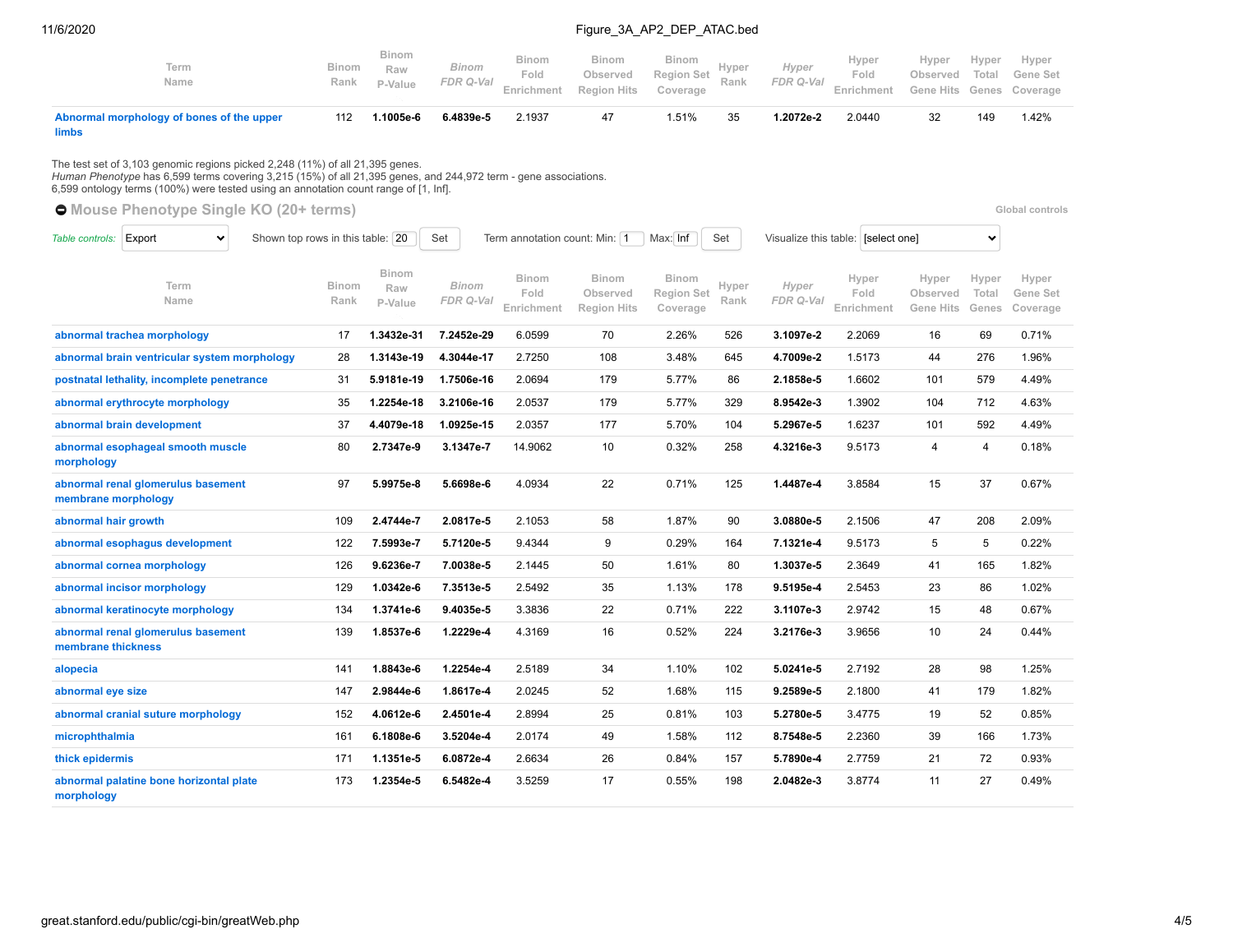| Abnormal morphology of bones of the upper<br><b>limbs</b> | 112                  | 1.1005e-6                      | 6.4839e-5            | 2.1937                      |                                         | 1.51%                                         | 35 | 1.2072e-2          | 2.0440                      |                                                              | 149   | 1.42% |  |
|-----------------------------------------------------------|----------------------|--------------------------------|----------------------|-----------------------------|-----------------------------------------|-----------------------------------------------|----|--------------------|-----------------------------|--------------------------------------------------------------|-------|-------|--|
| Term<br>Name                                              | <b>Binom</b><br>Rank | <b>Binom</b><br>Raw<br>P-Value | Binom<br>FDR Q-Val _ | Binom<br>Fold<br>Enrichment | Binom<br>Observed<br><b>Region Hits</b> | Binom<br>Binom<br>Region Set Rank<br>Coverage |    | Hyper<br>FDR Q-Val | Hyper<br>Fold<br>Enrichment | Hyper<br>Observed Total Gene Set<br>Gene Hits Genes Coverage | Hyper | Hyper |  |

The test set of 3,103 genomic regions picked 2,248 (11%) of all 21,395 genes.<br>*Human Phenotype* has 6,599 terms covering 3,215 (15%) of all 21,395 genes, and 244,972 term - gene associations.<br>6,599 ontology terms (100%) we

|                        | <b>O</b> Mouse Phenotype Single KO (20+ terms)<br>Global controls |  |                                  |                                |                           |                                    |                                                |                                               |               |                                    |                             |                                |                         |                               |
|------------------------|-------------------------------------------------------------------|--|----------------------------------|--------------------------------|---------------------------|------------------------------------|------------------------------------------------|-----------------------------------------------|---------------|------------------------------------|-----------------------------|--------------------------------|-------------------------|-------------------------------|
| Table controls: Export | $\checkmark$                                                      |  | Shown top rows in this table: 20 |                                | Set                       | Term annotation count: Min: 1      |                                                | Max: Inf                                      | Set           | Visualize this table: [select one] | $\checkmark$                |                                |                         |                               |
|                        | Term<br>Name                                                      |  | <b>Binom</b><br>Rank             | <b>Binom</b><br>Raw<br>P-Value | <b>Binom</b><br>FDR Q-Val | <b>Binom</b><br>Fold<br>Enrichment | <b>Binom</b><br>Observed<br><b>Region Hits</b> | <b>Binom</b><br><b>Region Set</b><br>Coverage | Hyper<br>Rank | Hyper<br>FDR Q-Val                 | Hyper<br>Fold<br>Enrichment | Hyper<br>Observed<br>Gene Hits | Hyper<br>Total<br>Genes | Hyper<br>Gene Set<br>Coverage |
|                        | abnormal trachea morphology                                       |  | 17                               | 1.3432e-31                     | 7.2452e-29                | 6.0599                             | 70                                             | 2.26%                                         | 526           | 3.1097e-2                          | 2.2069                      | 16                             | 69                      | 0.71%                         |
|                        | abnormal brain ventricular system morphology                      |  | 28                               | 1.3143e-19                     | 4.3044e-17                | 2.7250                             | 108                                            | 3.48%                                         | 645           | 4.7009e-2                          | 1.5173                      | 44                             | 276                     | 1.96%                         |
|                        | postnatal lethality, incomplete penetrance                        |  | 31                               | 5.9181e-19                     | 1.7506e-16                | 2.0694                             | 179                                            | 5.77%                                         | 86            | 2.1858e-5                          | 1.6602                      | 101                            | 579                     | 4.49%                         |
|                        | abnormal erythrocyte morphology                                   |  | 35                               | 1.2254e-18                     | 3.2106e-16                | 2.0537                             | 179                                            | 5.77%                                         | 329           | 8.9542e-3                          | 1.3902                      | 104                            | 712                     | 4.63%                         |
|                        | abnormal brain development                                        |  | 37                               | 4.4079e-18                     | 1.0925e-15                | 2.0357                             | 177                                            | 5.70%                                         | 104           | 5.2967e-5                          | 1.6237                      | 101                            | 592                     | 4.49%                         |
| morphology             | abnormal esophageal smooth muscle                                 |  | 80                               | 2.7347e-9                      | 3.1347e-7                 | 14.9062                            | 10                                             | 0.32%                                         | 258           | 4.3216e-3                          | 9.5173                      | $\overline{4}$                 | $\overline{4}$          | 0.18%                         |
| membrane morphology    | abnormal renal glomerulus basement                                |  | 97                               | 5.9975e-8                      | 5.6698e-6                 | 4.0934                             | 22                                             | 0.71%                                         | 125           | 1.4487e-4                          | 3.8584                      | 15                             | 37                      | 0.67%                         |
| abnormal hair growth   |                                                                   |  | 109                              | 2.4744e-7                      | 2.0817e-5                 | 2.1053                             | 58                                             | 1.87%                                         | 90            | 3.0880e-5                          | 2.1506                      | 47                             | 208                     | 2.09%                         |
|                        | abnormal esophagus development                                    |  | 122                              | 7.5993e-7                      | 5.7120e-5                 | 9.4344                             | 9                                              | 0.29%                                         | 164           | 7.1321e-4                          | 9.5173                      | 5                              | 5                       | 0.22%                         |
|                        | abnormal cornea morphology                                        |  | 126                              | 9.6236e-7                      | 7.0038e-5                 | 2.1445                             | 50                                             | 1.61%                                         | 80            | 1.3037e-5                          | 2.3649                      | 41                             | 165                     | 1.82%                         |
|                        | abnormal incisor morphology                                       |  | 129                              | 1.0342e-6                      | 7.3513e-5                 | 2.5492                             | 35                                             | 1.13%                                         | 178           | 9.5195e-4                          | 2.5453                      | 23                             | 86                      | 1.02%                         |
|                        | abnormal keratinocyte morphology                                  |  | 134                              | 1.3741e-6                      | 9.4035e-5                 | 3.3836                             | 22                                             | 0.71%                                         | 222           | 3.1107e-3                          | 2.9742                      | 15                             | 48                      | 0.67%                         |
| membrane thickness     | abnormal renal glomerulus basement                                |  | 139                              | 1.8537e-6                      | 1.2229e-4                 | 4.3169                             | 16                                             | 0.52%                                         | 224           | 3.2176e-3                          | 3.9656                      | 10                             | 24                      | 0.44%                         |
| alopecia               |                                                                   |  | 141                              | 1.8843e-6                      | 1.2254e-4                 | 2.5189                             | 34                                             | 1.10%                                         | 102           | 5.0241e-5                          | 2.7192                      | 28                             | 98                      | 1.25%                         |
| abnormal eye size      |                                                                   |  | 147                              | 2.9844e-6                      | 1.8617e-4                 | 2.0245                             | 52                                             | 1.68%                                         | 115           | 9.2589e-5                          | 2.1800                      | 41                             | 179                     | 1.82%                         |
|                        | abnormal cranial suture morphology                                |  | 152                              | 4.0612e-6                      | 2.4501e-4                 | 2.8994                             | 25                                             | 0.81%                                         | 103           | 5.2780e-5                          | 3.4775                      | 19                             | 52                      | 0.85%                         |
| microphthalmia         |                                                                   |  | 161                              | 6.1808e-6                      | 3.5204e-4                 | 2.0174                             | 49                                             | 1.58%                                         | 112           | 8.7548e-5                          | 2.2360                      | 39                             | 166                     | 1.73%                         |
| thick epidermis        |                                                                   |  | 171                              | 1.1351e-5                      | 6.0872e-4                 | 2.6634                             | 26                                             | 0.84%                                         | 157           | 5.7890e-4                          | 2.7759                      | 21                             | 72                      | 0.93%                         |
| morphology             | abnormal palatine bone horizontal plate                           |  | 173                              | 1.2354e-5                      | 6.5482e-4                 | 3.5259                             | 17                                             | 0.55%                                         | 198           | 2.0482e-3                          | 3.8774                      | 11                             | 27                      | 0.49%                         |